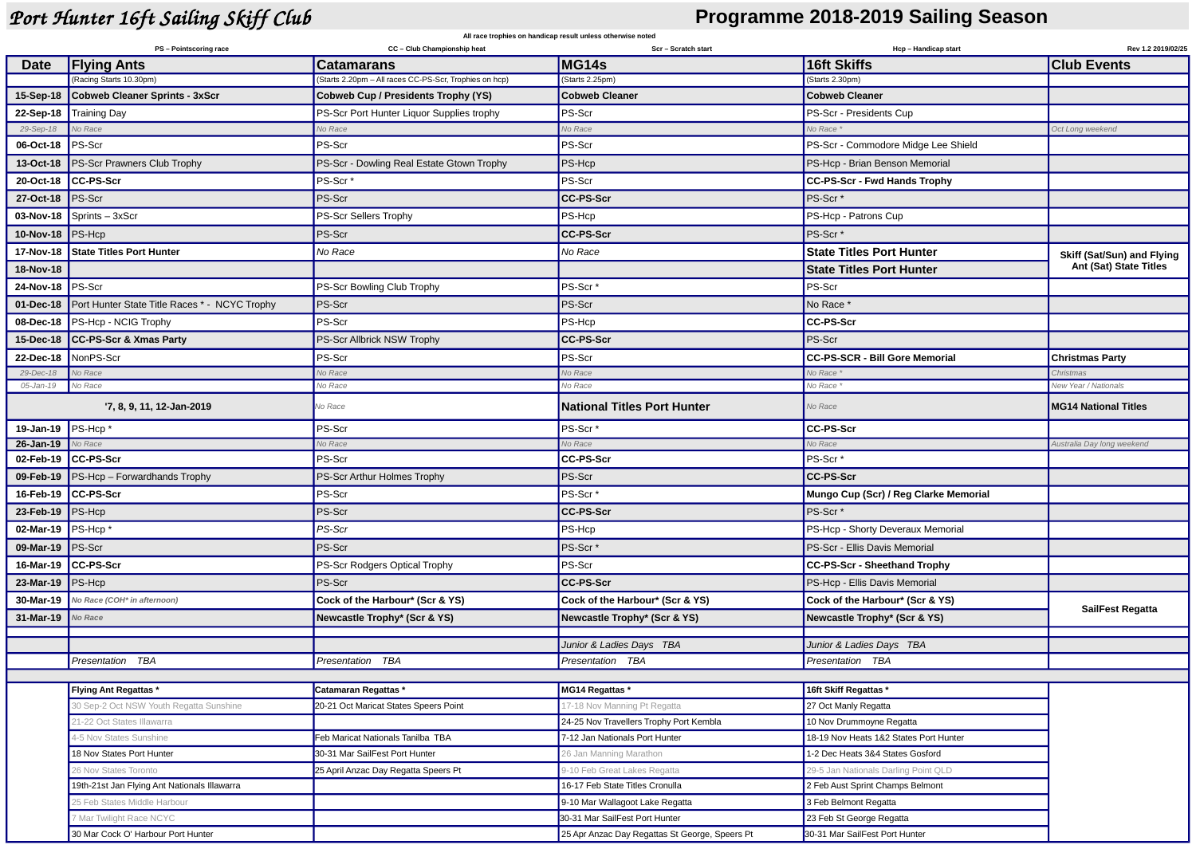## *Port Hunter 16ft Sailing Skiff Club* **Programme 2018-2019 Sailing Season**

| All race trophies on handicap result unless otherwise noted |                                               |                                                                             |                                                |                                        |                                                      |
|-------------------------------------------------------------|-----------------------------------------------|-----------------------------------------------------------------------------|------------------------------------------------|----------------------------------------|------------------------------------------------------|
|                                                             | PS - Pointscoring race                        | CC - Club Championship heat                                                 | Scr - Scratch start                            | Hcp - Handicap start                   | Rev 1.2 2019/02/25                                   |
| <b>Date</b>                                                 | <b>Flying Ants</b><br>(Racing Starts 10.30pm) | <b>Catamarans</b><br>(Starts 2.20pm - All races CC-PS-Scr, Trophies on hcp) | MG14s<br>(Starts 2.25pm)                       | 16ft Skiffs<br>(Starts 2.30pm)         | <b>Club Events</b>                                   |
| 15-Sep-18                                                   | Cobweb Cleaner Sprints - 3xScr                | Cobweb Cup / Presidents Trophy (YS)                                         | <b>Cobweb Cleaner</b>                          | <b>Cobweb Cleaner</b>                  |                                                      |
| 22-Sep-18                                                   | <b>Training Day</b>                           | PS-Scr Port Hunter Liquor Supplies trophy                                   | PS-Scr                                         | PS-Scr - Presidents Cup                |                                                      |
| 29-Sep-18                                                   | No Race                                       | Vo Race                                                                     | Vo Race                                        | No Race *                              | Oct Long weekend                                     |
| 06-Oct-18                                                   | PS-Scr                                        | PS-Scr                                                                      | PS-Scr                                         | PS-Scr - Commodore Midge Lee Shield    |                                                      |
| 13-Oct-18                                                   | <b>PS-Scr Prawners Club Trophy</b>            | PS-Scr - Dowling Real Estate Gtown Trophy                                   | PS-Hcp                                         | PS-Hcp - Brian Benson Memorial         |                                                      |
| 20-Oct-18                                                   | <b>CC-PS-Scr</b>                              | PS-Scr <sup>*</sup>                                                         | PS-Scr                                         | CC-PS-Scr - Fwd Hands Trophy           |                                                      |
| 27-Oct-18                                                   | PS-Scr                                        | PS-Scr                                                                      | <b>CC-PS-Scr</b>                               | PS-Scr <sup>*</sup>                    |                                                      |
| 03-Nov-18                                                   | Sprints - 3xScr                               | PS-Scr Sellers Trophy                                                       | PS-Hcp                                         | PS-Hcp - Patrons Cup                   |                                                      |
| 10-Nov-18                                                   | <b>PS-Hcp</b>                                 | PS-Scr                                                                      | <b>CC-PS-Scr</b>                               | PS-Scr <sup>*</sup>                    |                                                      |
|                                                             |                                               |                                                                             |                                                |                                        |                                                      |
| 17-Nov-18                                                   | <b>State Titles Port Hunter</b>               | No Race                                                                     | No Race                                        | <b>State Titles Port Hunter</b>        | Skiff (Sat/Sun) and Flying<br>Ant (Sat) State Titles |
| 18-Nov-18                                                   |                                               |                                                                             |                                                | <b>State Titles Port Hunter</b>        |                                                      |
| 24-Nov-18                                                   | <b>PS-Scr</b>                                 | PS-Scr Bowling Club Trophy                                                  | PS-Scr <sup>*</sup>                            | PS-Scr                                 |                                                      |
| 01-Dec-18                                                   | Port Hunter State Title Races * - NCYC Trophy | PS-Scr                                                                      | PS-Scr                                         | No Race *                              |                                                      |
| 08-Dec-18                                                   | PS-Hcp - NCIG Trophy                          | PS-Scr                                                                      | PS-Hcp                                         | CC-PS-Scr                              |                                                      |
| 15-Dec-18                                                   | <b>CC-PS-Scr &amp; Xmas Party</b>             | PS-Scr Allbrick NSW Trophy                                                  | <b>CC-PS-Scr</b>                               | PS-Scr                                 |                                                      |
| 22-Dec-18                                                   | NonPS-Scr                                     | PS-Scr                                                                      | PS-Scr                                         | CC-PS-SCR - Bill Gore Memorial         | <b>Christmas Party</b>                               |
| 29-Dec-18                                                   | No Race                                       | Vo Race                                                                     | No Race                                        | No Race <sup>,</sup>                   | Christmas                                            |
| 05-Jan-19                                                   | No Race                                       | No Race                                                                     | No Race                                        | No Race *                              | New Year / Nationals                                 |
|                                                             | '7, 8, 9, 11, 12-Jan-2019                     | Vo Race                                                                     | <b>National Titles Port Hunter</b>             | No Race                                | <b>MG14 National Titles</b>                          |
| 19-Jan-19                                                   | PS-Hcp*                                       | PS-Scr                                                                      | PS-Scr <sup>*</sup>                            | CC-PS-Scr                              |                                                      |
| 26-Jan-19                                                   | No Race                                       | Vo Race                                                                     | No Race                                        | No Race                                | Australia Day long weekend                           |
| 02-Feb-19                                                   | CC-PS-Scr                                     | PS-Scr                                                                      | CC-PS-Scr                                      | PS-Scr <sup>*</sup>                    |                                                      |
| 09-Feb-19                                                   | <b>PS-Hcp - Forwardhands Trophy</b>           | PS-Scr Arthur Holmes Trophy                                                 | PS-Scr                                         | CC-PS-Scr                              |                                                      |
| 16-Feb-19                                                   | CC-PS-Scr                                     | PS-Scr                                                                      | PS-Scr <sup>*</sup>                            | Mungo Cup (Scr) / Reg Clarke Memorial  |                                                      |
| 23-Feb-19                                                   | <b>PS-Hcp</b>                                 | PS-Scr                                                                      | CC-PS-Scr                                      | PS-Scr <sup>*</sup>                    |                                                      |
| 02-Mar-19                                                   | PS-Hcp <sup>*</sup>                           | PS-Scr                                                                      | PS-Hcp                                         | PS-Hcp - Shorty Deveraux Memorial      |                                                      |
| 09-Mar-19                                                   | <b>PS-Scr</b>                                 | PS-Scr                                                                      | PS-Scr*                                        | PS-Scr - Ellis Davis Memorial          |                                                      |
| 16-Mar-19                                                   | CC-PS-Scr                                     | PS-Scr Rodgers Optical Trophy                                               | PS-Scr                                         | CC-PS-Scr - Sheethand Trophy           |                                                      |
| 23-Mar-19                                                   | PS-Hcp                                        | PS-Scr                                                                      | <b>CC-PS-Scr</b>                               | PS-Hcp - Ellis Davis Memorial          |                                                      |
| 30-Mar-19                                                   | No Race (COH* in afternoon)                   | Cock of the Harbour* (Scr & YS)                                             | Cock of the Harbour* (Scr & YS)                | Cock of the Harbour* (Scr & YS)        | SailFest Regatta                                     |
| 31-Mar-19                                                   | No Race                                       | Newcastle Trophy* (Scr & YS)                                                | Newcastle Trophy* (Scr & YS)                   | Newcastle Trophy* (Scr & YS)           |                                                      |
|                                                             |                                               |                                                                             |                                                |                                        |                                                      |
|                                                             |                                               |                                                                             | Junior & Ladies Days TBA                       | Junior & Ladies Days TBA               |                                                      |
|                                                             | <b>Presentation TBA</b>                       | Presentation TBA                                                            | Presentation TBA                               | Presentation TBA                       |                                                      |
|                                                             | <b>Flying Ant Regattas *</b>                  | Catamaran Regattas *                                                        | MG14 Regattas *                                | 16ft Skiff Regattas *                  |                                                      |
|                                                             | 30 Sep-2 Oct NSW Youth Regatta Sunshine       | 20-21 Oct Maricat States Speers Point                                       | 17-18 Nov Manning Pt Regatta                   | 27 Oct Manly Regatta                   |                                                      |
|                                                             | 21-22 Oct States Illawarra                    |                                                                             | 24-25 Nov Travellers Trophy Port Kembla        | 10 Nov Drummoyne Regatta               |                                                      |
|                                                             | 4-5 Nov States Sunshine                       | Feb Maricat Nationals Tanilba TBA                                           | 7-12 Jan Nationals Port Hunter                 | 18-19 Nov Heats 1&2 States Port Hunter |                                                      |
|                                                             | 18 Nov States Port Hunter                     | 30-31 Mar SailFest Port Hunter                                              | 26 Jan Manning Marathon                        | 1-2 Dec Heats 3&4 States Gosford       |                                                      |
|                                                             | 26 Nov States Toronto                         | 25 April Anzac Day Regatta Speers Pt                                        | 9-10 Feb Great Lakes Regatta                   | 29-5 Jan Nationals Darling Point QLD   |                                                      |
|                                                             | 19th-21st Jan Flying Ant Nationals Illawarra  |                                                                             | 16-17 Feb State Titles Cronulla                | 2 Feb Aust Sprint Champs Belmont       |                                                      |
|                                                             | 25 Feb States Middle Harbour                  |                                                                             | 9-10 Mar Wallagoot Lake Regatta                | 3 Feb Belmont Regatta                  |                                                      |
|                                                             | Mar Twilight Race NCYC                        |                                                                             | 30-31 Mar SailFest Port Hunter                 | 23 Feb St George Regatta               |                                                      |
|                                                             | 30 Mar Cock O' Harbour Port Hunter            |                                                                             | 25 Apr Anzac Day Regattas St George, Speers Pt | 30-31 Mar SailFest Port Hunter         |                                                      |